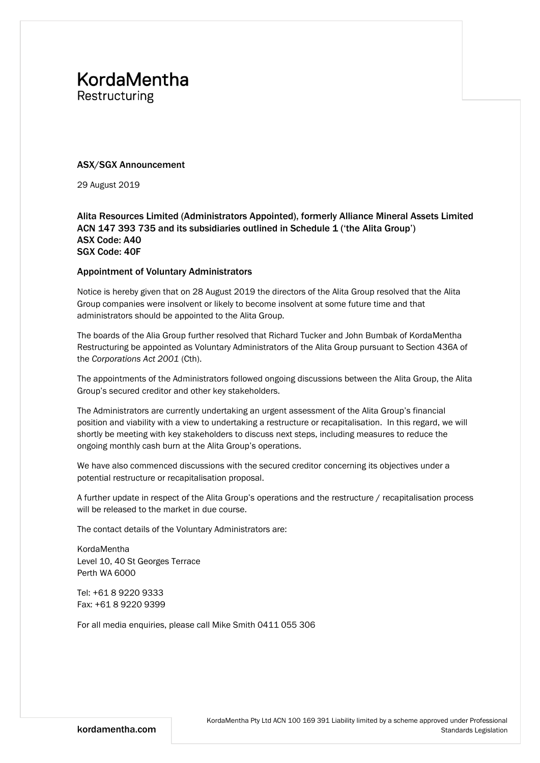## **KordaMentha**

Restructuring

#### ASX/SGX Announcement

29 August 2019

#### Alita Resources Limited (Administrators Appointed), formerly Alliance Mineral Assets Limited ACN 147 393 735 and its subsidiaries outlined in Schedule 1 ('the Alita Group') ASX Code: A40 SGX Code: 40F

#### Appointment of Voluntary Administrators

Notice is hereby given that on 28 August 2019 the directors of the Alita Group resolved that the Alita Group companies were insolvent or likely to become insolvent at some future time and that administrators should be appointed to the Alita Group.

The boards of the Alia Group further resolved that Richard Tucker and John Bumbak of KordaMentha Restructuring be appointed as Voluntary Administrators of the Alita Group pursuant to Section 436A of the *Corporations Act 2001* (Cth).

The appointments of the Administrators followed ongoing discussions between the Alita Group, the Alita Group's secured creditor and other key stakeholders.

The Administrators are currently undertaking an urgent assessment of the Alita Group's financial position and viability with a view to undertaking a restructure or recapitalisation. In this regard, we will shortly be meeting with key stakeholders to discuss next steps, including measures to reduce the ongoing monthly cash burn at the Alita Group's operations.

We have also commenced discussions with the secured creditor concerning its objectives under a potential restructure or recapitalisation proposal.

A further update in respect of the Alita Group's operations and the restructure / recapitalisation process will be released to the market in due course.

The contact details of the Voluntary Administrators are:

KordaMentha Level 10, 40 St Georges Terrace Perth WA 6000

Tel: +61 8 9220 9333 Fax: +61 8 9220 9399

For all media enquiries, please call Mike Smith 0411 055 306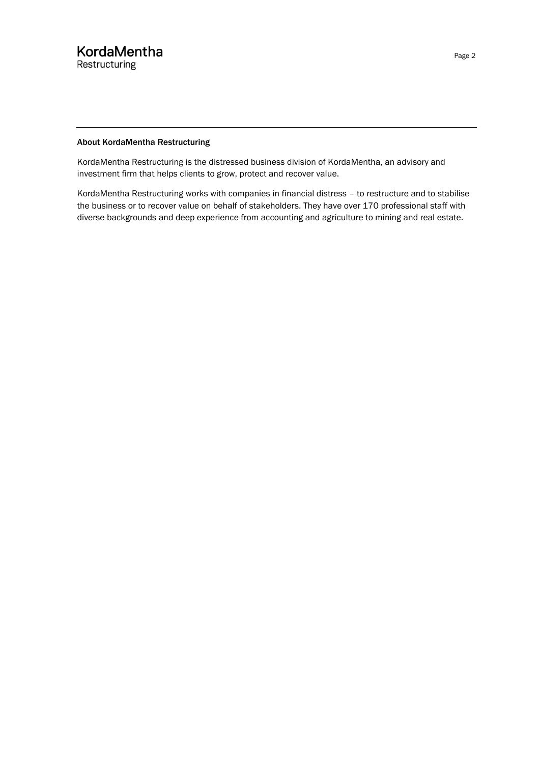#### About KordaMentha Restructuring

KordaMentha Restructuring is the distressed business division of KordaMentha, an advisory and investment firm that helps clients to grow, protect and recover value.

KordaMentha Restructuring works with companies in financial distress – to restructure and to stabilise the business or to recover value on behalf of stakeholders. They have over 170 professional staff with diverse backgrounds and deep experience from accounting and agriculture to mining and real estate.